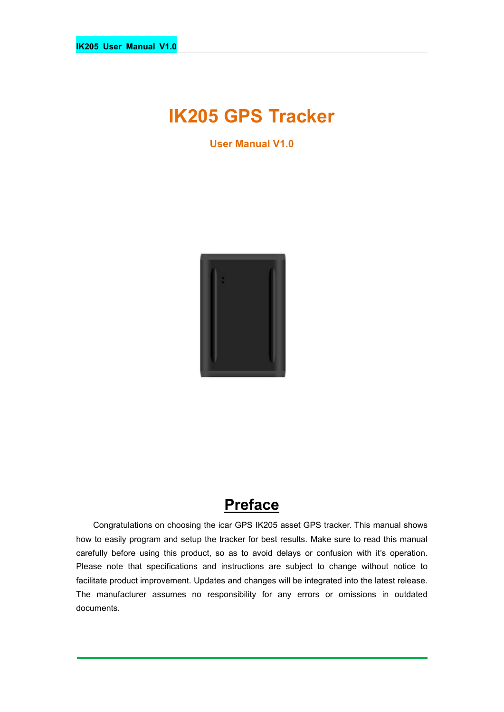# **IK205 GPS Tracker**

**User Manual V1.0**



## **Preface**

Congratulations on choosing the icar GPS IK205 asset GPS tracker. This manual shows how to easily program and setup the tracker for best results. Make sure to read this manual carefully before using this product, so as to avoid delays or confusion with it's operation. Please note that specifications and instructions are subject to change without notice to facilitate product improvement. Updates and changes will be integrated into the latest release. The manufacturer assumes no responsibility for any errors or omissions in outdated documents.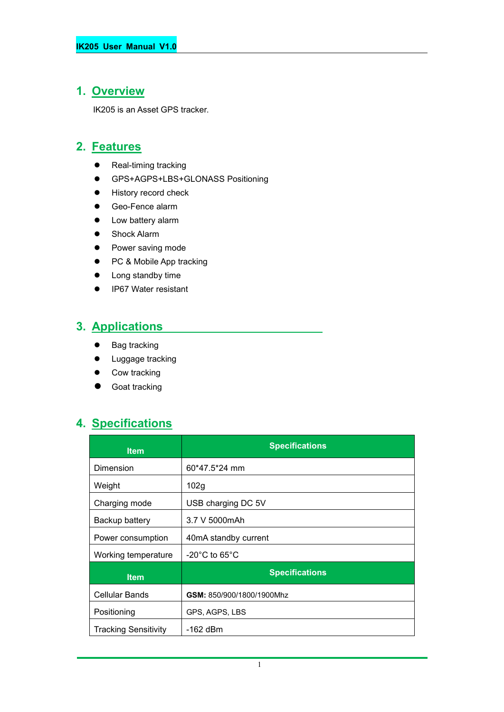#### **1. Overview**

IK205 is an Asset GPS tracker.

#### **2. Features**

- Real-timing tracking
- GPS+AGPS+LBS+GLONASS Positioning
- **•** History record check
- Geo-Fence alarm
- Low battery alarm
- **•** Shock Alarm
- Power saving mode
- PC & Mobile App tracking
- Long standby time
- IP67 Water resistant

#### **3. Applications**

- Bag tracking
- **•** Luggage tracking
- Cow tracking
- Goat tracking

## **4. Specifications**

| <b>Item</b>                 | <b>Specifications</b>              |
|-----------------------------|------------------------------------|
| Dimension                   | 60*47.5*24 mm                      |
| Weight                      | 102g                               |
| Charging mode               | USB charging DC 5V                 |
| Backup battery              | 3.7 V 5000mAh                      |
| Power consumption           | 40mA standby current               |
| Working temperature         | $-20^{\circ}$ C to 65 $^{\circ}$ C |
| <b>Item</b>                 | <b>Specifications</b>              |
| Cellular Bands              | GSM: 850/900/1800/1900Mhz          |
| Positioning                 | GPS, AGPS, LBS                     |
| <b>Tracking Sensitivity</b> | -162 dBm                           |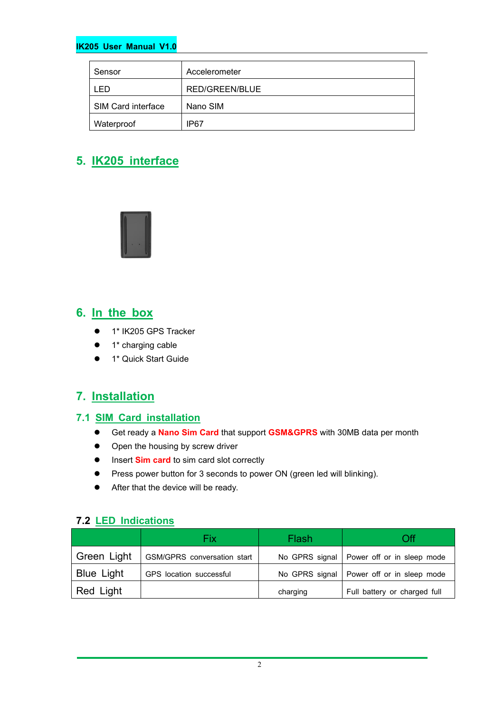#### **IK205 User Manual V1.0**

| Sensor             | Accelerometer  |
|--------------------|----------------|
| ∣ FD.              | RED/GREEN/BLUE |
| SIM Card interface | Nano SIM       |
| Waterproof         | IP67           |

## **5. IK205 interface**



#### **6. In the box**

- 1\* IK205 GPS Tracker
- 1\* charging cable
- 1\* Quick Start Guide

#### **7. Installation**

#### **7.1 SIM Card installation**

- Get ready a **Nano Sim Card** that support **GSM&GPRS** with30MB data per month
- Open the housing by screw driver
- **Insert Sim card** to sim card slot correctly
- Press power button for 3 seconds to power ON (green led will blinking).
- After that the device will be ready.

#### **7.2 LED Indications**

|                   | Fix                         | Flash    | Эff                                         |
|-------------------|-----------------------------|----------|---------------------------------------------|
| Green Light       | GSM/GPRS conversation start |          | No GPRS signal   Power off or in sleep mode |
| <b>Blue Light</b> | GPS location successful     |          | No GPRS signal   Power off or in sleep mode |
| Red Light         |                             | charging | Full battery or charged full                |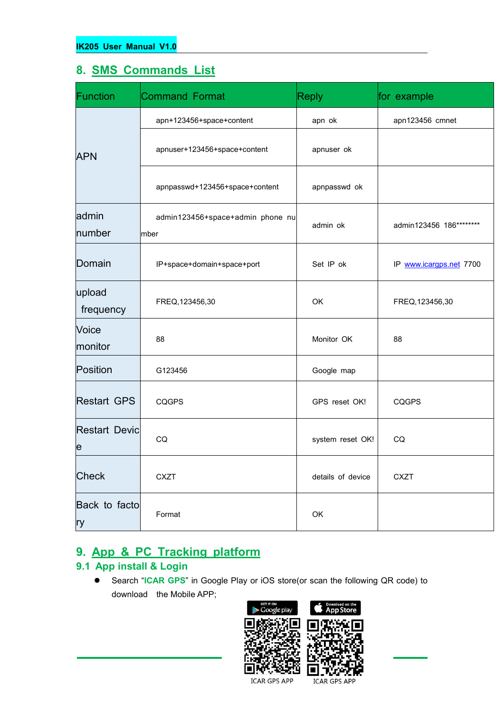#### **8. SMS Commands List**

| Function                                | <b>Command Format</b>                    | <b>Reply</b>      | for example             |
|-----------------------------------------|------------------------------------------|-------------------|-------------------------|
|                                         | apn+123456+space+content                 | apn ok            | apn123456 cmnet         |
| <b>APN</b>                              | apnuser+123456+space+content             | apnuser ok        |                         |
|                                         | apnpasswd+123456+space+content           | apnpasswd ok      |                         |
| admin<br>number                         | admin123456+space+admin phone nu<br>mber | admin ok          | admin123456 186******** |
| Domain                                  | IP+space+domain+space+port               | Set IP ok         | IP www.icargps.net 7700 |
| upload<br>frequency                     | FREQ, 123456, 30                         | OK                | FREQ, 123456, 30        |
| Voice<br>monitor                        | 88                                       | Monitor OK        | 88                      |
| Position                                | G123456                                  | Google map        |                         |
| <b>Restart GPS</b>                      | <b>CQGPS</b>                             | GPS reset OK!     | <b>CQGPS</b>            |
| <b>Restart Devic</b><br>$\vert e \vert$ | CQ                                       | system reset OK!  | CQ                      |
| Check                                   | <b>CXZT</b>                              | details of device | <b>CXZT</b>             |
| Back to facto<br>ry                     | Format                                   | OK                |                         |

## **9. App & PC Tracking platform**

#### **9.1 App install & Login**

 Search "**ICAR GPS**" in Google Play or iOS store(or scan the following QR code) to download the Mobile APP;



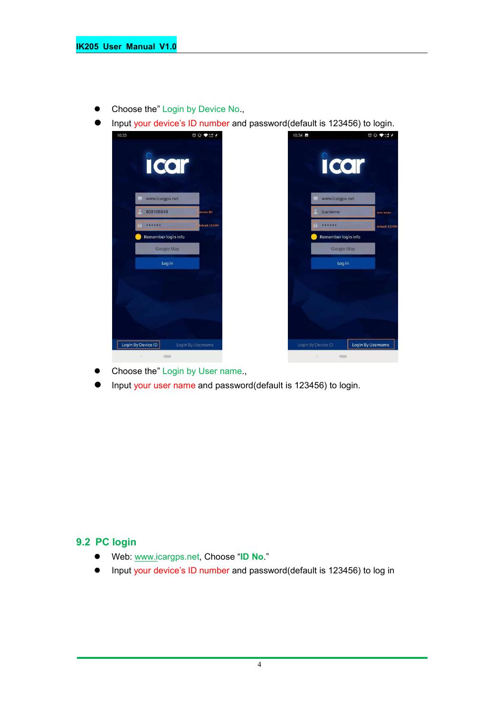- Choose the" Login by Device No.,
- Input your device's ID number and password(default is 123456) to login.



- Choose the" Login by User name.,
- Input your user name and password(default is 123456) to login.

#### **9.2 PC login**

- Web: [www.ic](http://www.trackits.com)argps.net, Choose "**ID No**."
- Input your device's ID number and password(default is 123456) to log in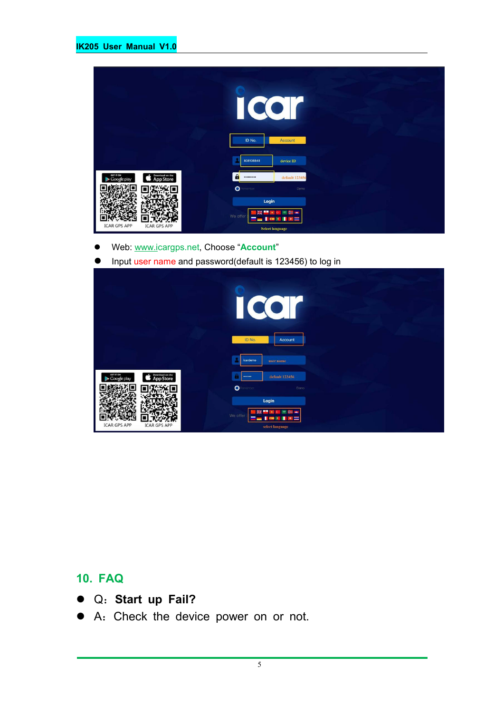|                                                          | U<br>ID No.<br>Account                                        |  |
|----------------------------------------------------------|---------------------------------------------------------------|--|
|                                                          | 808108848<br>device ID                                        |  |
| Download on the<br>App Store<br>GET IT ON<br>Google play | $\mathbf{a}$<br>default 123456<br>                            |  |
|                                                          | $\bullet$<br>enember<br>Demo                                  |  |
| <b>ICAR GPS APP</b><br><b>ICAR GPS APP</b>               | Login<br>We offer<br>$\overline{a}$<br><b>Select language</b> |  |

- Web: [www.ic](http://www.trackits.com)argps.net, Choose "**Account**"
- **Input user name and password(default is 123456) to log in**

|                                                                 | CO<br>I                                                                           |
|-----------------------------------------------------------------|-----------------------------------------------------------------------------------|
|                                                                 | ID No.<br>Account<br>icardemo<br>user name                                        |
| GET IT ON<br>Download on the<br><b>App Store</b><br>Google play | default 123456<br><br>$\bullet$<br>enember<br>Demo                                |
| <b>ICAR GPS APP</b><br><b>ICAR GPS APP</b>                      | Login<br>÷<br>瑞<br>7,440<br>We offer<br>a i<br><b>COL</b><br>×<br>select language |

## **10. FAQ**

- Q:**Start up Fail?**
- A:Check the device power on or not.